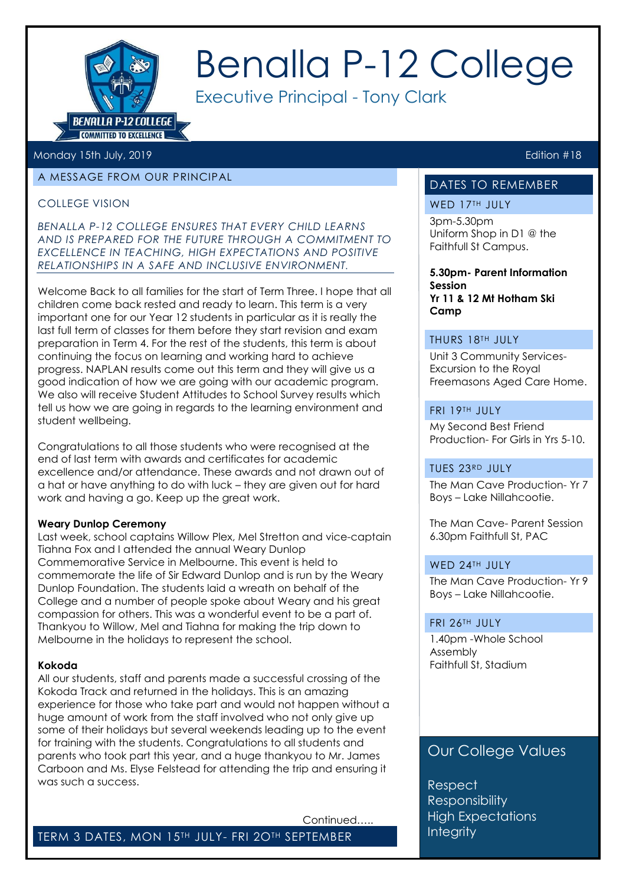

# Benalla P-12 College

Executive Principal - Tony Clark

#### Monday 15th July, 2019 **Edition #18**

#### A MESSAGE FROM OUR PRINCIPAL

#### COLLEGE VISION

*BENALLA P-12 COLLEGE ENSURES THAT EVERY CHILD LEARNS AND IS PREPARED FOR THE FUTURE THROUGH A COMMITMENT TO EXCELLENCE IN TEACHING, HIGH EXPECTATIONS AND POSITIVE RELATIONSHIPS IN A SAFE AND INCLUSIVE ENVIRONMENT.*

Welcome Back to all families for the start of Term Three. I hope that all children come back rested and ready to learn. This term is a very important one for our Year 12 students in particular as it is really the last full term of classes for them before they start revision and exam preparation in Term 4. For the rest of the students, this term is about continuing the focus on learning and working hard to achieve progress. NAPLAN results come out this term and they will give us a good indication of how we are going with our academic program. We also will receive Student Attitudes to School Survey results which tell us how we are going in regards to the learning environment and student wellbeing.

Congratulations to all those students who were recognised at the end of last term with awards and certificates for academic excellence and/or attendance. These awards and not drawn out of a hat or have anything to do with luck – they are given out for hard work and having a go. Keep up the great work.

#### **Weary Dunlop Ceremony**

Last week, school captains Willow Plex, Mel Stretton and vice-captain Tiahna Fox and I attended the annual Weary Dunlop Commemorative Service in Melbourne. This event is held to commemorate the life of Sir Edward Dunlop and is run by the Weary Dunlop Foundation. The students laid a wreath on behalf of the College and a number of people spoke about Weary and his great compassion for others. This was a wonderful event to be a part of. Thankyou to Willow, Mel and Tiahna for making the trip down to Melbourne in the holidays to represent the school.

#### **Kokoda**

All our students, staff and parents made a successful crossing of the Kokoda Track and returned in the holidays. This is an amazing experience for those who take part and would not happen without a huge amount of work from the staff involved who not only give up some of their holidays but several weekends leading up to the event for training with the students. Congratulations to all students and parents who took part this year, and a huge thankyou to Mr. James Carboon and Ms. Elyse Felstead for attending the trip and ensuring it was such a success.

Continued…..

TERM 3 DATES, MON 15TH JULY- FRI 2OTH SEPTEMBER

#### DATES TO REMEMBER

#### WED 17TH JULY

3pm-5.30pm Uniform Shop in D1 @ the Faithfull St Campus.

#### **5.30pm- Parent Information Session Yr 11 & 12 Mt Hotham Ski**

**Camp** 

#### THURS 18TH JULY

Unit 3 Community Services-Excursion to the Royal Freemasons Aged Care Home.

#### FRI 19TH JULY

My Second Best Friend Production- For Girls in Yrs 5-10.

#### TUES 23RD JULY

The Man Cave Production- Yr 7 Boys – Lake Nillahcootie.

The Man Cave- Parent Session 6.30pm Faithfull St, PAC

#### WED 24TH JULY

The Man Cave Production- Yr 9 Boys – Lake Nillahcootie.

#### FRI 26TH JULY

1.40pm -Whole School Assembly Faithfull St, Stadium

# . Our College Values

**Respect Responsibility High Expectations Integrity**